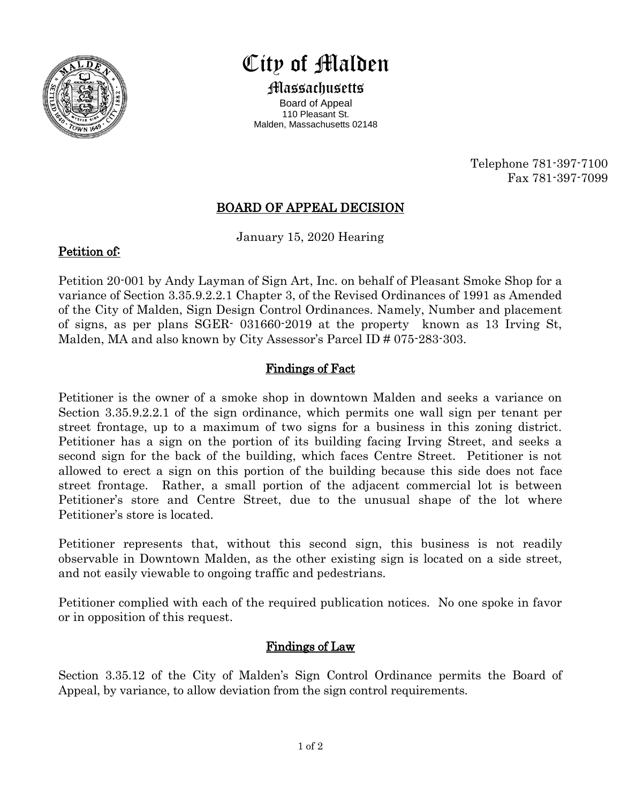

# City of Malden

Massachusetts Board of Appeal 110 Pleasant St. Malden, Massachusetts 02148

> Telephone 781-397-7100 Fax 781-397-7099

## BOARD OF APPEAL DECISION

January 15, 2020 Hearing

### Petition of:

Petition 20-001 by Andy Layman of Sign Art, Inc. on behalf of Pleasant Smoke Shop for a variance of Section 3.35.9.2.2.1 Chapter 3, of the Revised Ordinances of 1991 as Amended of the City of Malden, Sign Design Control Ordinances. Namely, Number and placement of signs, as per plans SGER- 031660-2019 at the property known as 13 Irving St, Malden, MA and also known by City Assessor's Parcel ID # 075-283-303.

#### Findings of Fact

Petitioner is the owner of a smoke shop in downtown Malden and seeks a variance on Section 3.35.9.2.2.1 of the sign ordinance, which permits one wall sign per tenant per street frontage, up to a maximum of two signs for a business in this zoning district. Petitioner has a sign on the portion of its building facing Irving Street, and seeks a second sign for the back of the building, which faces Centre Street. Petitioner is not allowed to erect a sign on this portion of the building because this side does not face street frontage. Rather, a small portion of the adjacent commercial lot is between Petitioner's store and Centre Street, due to the unusual shape of the lot where Petitioner's store is located.

Petitioner represents that, without this second sign, this business is not readily observable in Downtown Malden, as the other existing sign is located on a side street, and not easily viewable to ongoing traffic and pedestrians.

Petitioner complied with each of the required publication notices. No one spoke in favor or in opposition of this request.

## Findings of Law

Section 3.35.12 of the City of Malden's Sign Control Ordinance permits the Board of Appeal, by variance, to allow deviation from the sign control requirements.